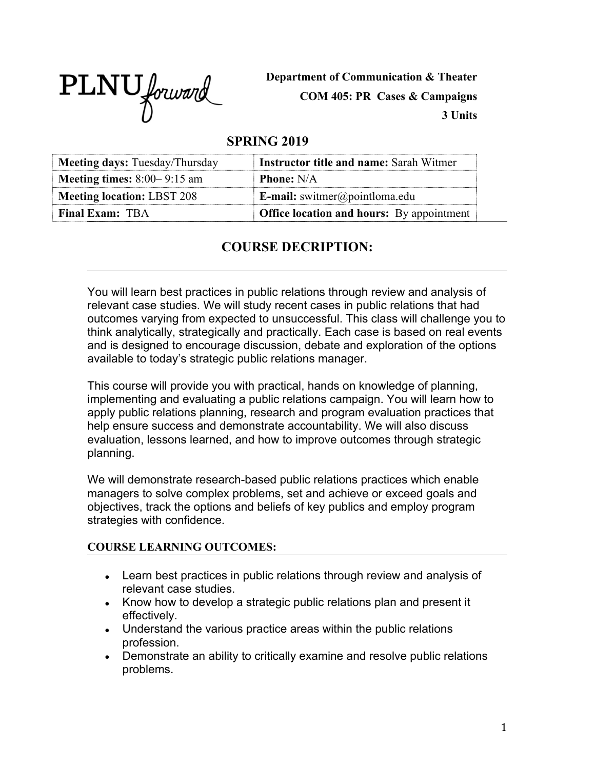PLNU forward

**Department of Communication & Theater COM 405: PR Cases & Campaigns 3 Units**

# **SPRING 2019**

| <b>Meeting days:</b> Tuesday/Thursday | <b>Instructor title and name: Sarah Witmer</b>   |
|---------------------------------------|--------------------------------------------------|
| <b>Meeting times:</b> $8:00-9:15$ am  | <b>Phone:</b> N/A                                |
| <b>Meeting location: LBST 208</b>     | <b>E-mail:</b> switmer@pointloma.edu             |
| <b>Final Exam: TBA</b>                | <b>Office location and hours:</b> By appointment |

# **COURSE DECRIPTION:**

You will learn best practices in public relations through review and analysis of relevant case studies. We will study recent cases in public relations that had outcomes varying from expected to unsuccessful. This class will challenge you to think analytically, strategically and practically. Each case is based on real events and is designed to encourage discussion, debate and exploration of the options available to today's strategic public relations manager.

This course will provide you with practical, hands on knowledge of planning, implementing and evaluating a public relations campaign. You will learn how to apply public relations planning, research and program evaluation practices that help ensure success and demonstrate accountability. We will also discuss evaluation, lessons learned, and how to improve outcomes through strategic planning.

We will demonstrate research-based public relations practices which enable managers to solve complex problems, set and achieve or exceed goals and objectives, track the options and beliefs of key publics and employ program strategies with confidence.

### **COURSE LEARNING OUTCOMES:**

- Learn best practices in public relations through review and analysis of relevant case studies.
- Know how to develop a strategic public relations plan and present it effectively.
- Understand the various practice areas within the public relations profession.
- Demonstrate an ability to critically examine and resolve public relations problems.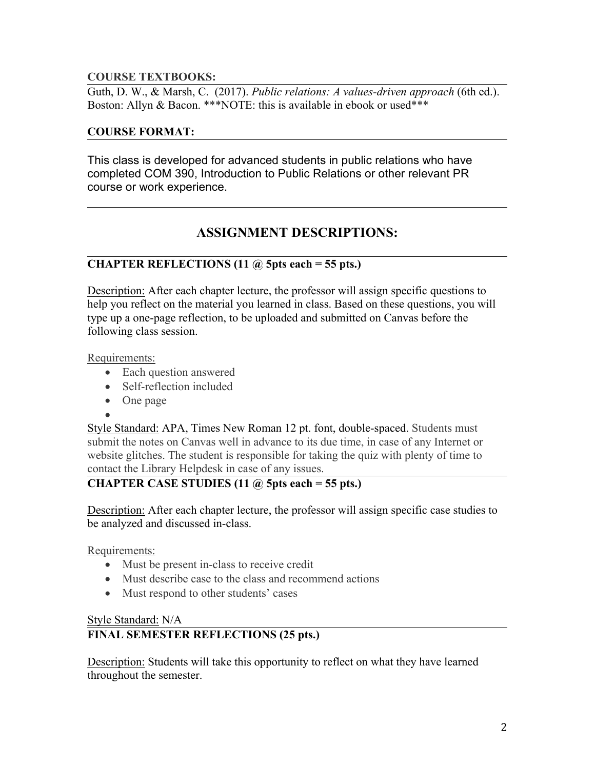### **COURSE TEXTBOOKS:**

Guth, D. W., & Marsh, C. (2017). *Public relations: A values-driven approach* (6th ed.). Boston: Allyn & Bacon. \*\*\*NOTE: this is available in ebook or used\*\*\*

#### **COURSE FORMAT:**

This class is developed for advanced students in public relations who have completed COM 390, Introduction to Public Relations or other relevant PR course or work experience.

# **ASSIGNMENT DESCRIPTIONS:**

## **CHAPTER REFLECTIONS (11 @ 5pts each = 55 pts.)**

Description: After each chapter lecture, the professor will assign specific questions to help you reflect on the material you learned in class. Based on these questions, you will type up a one-page reflection, to be uploaded and submitted on Canvas before the following class session.

Requirements:

- Each question answered
- Self-reflection included
- One page
- $\bullet$  and  $\bullet$  and  $\bullet$  and  $\bullet$

Style Standard: APA, Times New Roman 12 pt. font, double-spaced. Students must submit the notes on Canvas well in advance to its due time, in case of any Internet or website glitches. The student is responsible for taking the quiz with plenty of time to contact the Library Helpdesk in case of any issues.

# **CHAPTER CASE STUDIES (11 @ 5pts each = 55 pts.)**

Description: After each chapter lecture, the professor will assign specific case studies to be analyzed and discussed in-class.

Requirements:

- Must be present in-class to receive credit
- Must describe case to the class and recommend actions
- Must respond to other students' cases

#### Style Standard: N/A

### **FINAL SEMESTER REFLECTIONS (25 pts.)**

Description: Students will take this opportunity to reflect on what they have learned throughout the semester.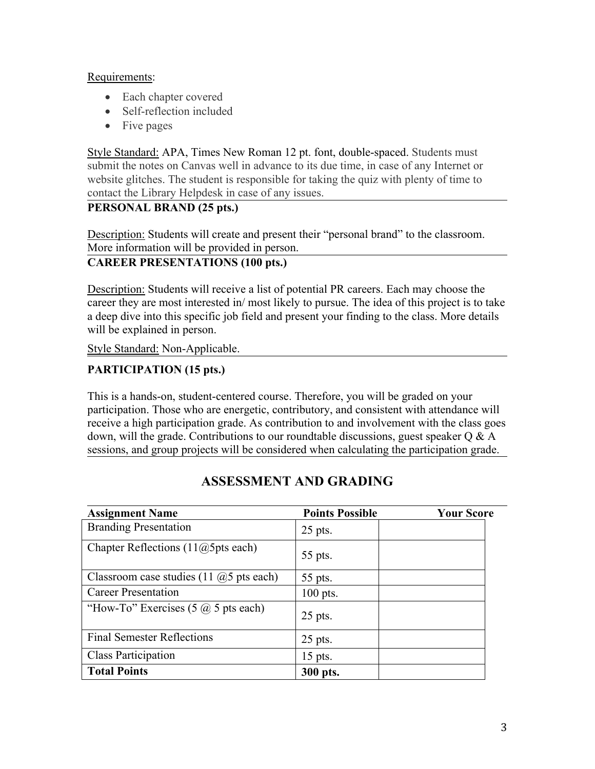#### Requirements:

- Each chapter covered
- Self-reflection included
- Five pages

Style Standard: APA, Times New Roman 12 pt. font, double-spaced. Students must submit the notes on Canvas well in advance to its due time, in case of any Internet or website glitches. The student is responsible for taking the quiz with plenty of time to contact the Library Helpdesk in case of any issues.

## **PERSONAL BRAND (25 pts.)**

Description: Students will create and present their "personal brand" to the classroom. More information will be provided in person.

# **CAREER PRESENTATIONS (100 pts.)**

Description: Students will receive a list of potential PR careers. Each may choose the career they are most interested in/ most likely to pursue. The idea of this project is to take a deep dive into this specific job field and present your finding to the class. More details will be explained in person.

Style Standard: Non-Applicable.

# **PARTICIPATION (15 pts.)**

This is a hands-on, student-centered course. Therefore, you will be graded on your participation. Those who are energetic, contributory, and consistent with attendance will receive a high participation grade. As contribution to and involvement with the class goes down, will the grade. Contributions to our roundtable discussions, guest speaker Q & A sessions, and group projects will be considered when calculating the participation grade.

| <b>Assignment Name</b>                            | <b>Points Possible</b> | <b>Your Score</b> |  |
|---------------------------------------------------|------------------------|-------------------|--|
| <b>Branding Presentation</b>                      | $25$ pts.              |                   |  |
| Chapter Reflections $(11@5pts$ each)              | 55 pts.                |                   |  |
| Classroom case studies $(11 \omega)$ pts each)    | 55 pts.                |                   |  |
| <b>Career Presentation</b>                        | $100$ pts.             |                   |  |
| "How-To" Exercises $(5 \hat{\omega})$ 5 pts each) | $25$ pts.              |                   |  |
| <b>Final Semester Reflections</b>                 | $25$ pts.              |                   |  |
| <b>Class Participation</b>                        | 15 pts.                |                   |  |
| <b>Total Points</b>                               | 300 pts.               |                   |  |

# **ASSESSMENT AND GRADING**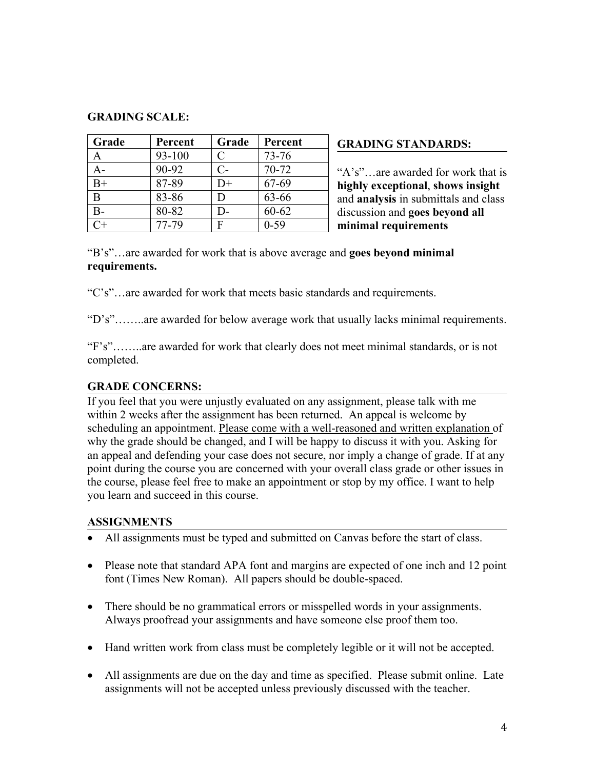#### **GRADING SCALE:**

| Grade        | Percent | Grade         | Percent   | <b>GRADING STANDARDS:</b>            |
|--------------|---------|---------------|-----------|--------------------------------------|
| $\mathsf{A}$ | 93-100  |               | $73 - 76$ |                                      |
| $A-$         | 90-92   | $\mathcal{C}$ | $70-72$   | "A's"are awarded for work that is    |
| $B+$         | 87-89   | $D+$          | 67-69     | highly exceptional, shows insight    |
| B            | 83-86   | D             | 63-66     | and analysis in submittals and class |
| $B-$         | 80-82   | $D-$          | $60 - 62$ | discussion and goes beyond all       |
| $C+$         | 77-79   | F             | $0 - 59$  | minimal requirements                 |

"B's"…are awarded for work that is above average and **goes beyond minimal requirements.**

"C's"…are awarded for work that meets basic standards and requirements.

"D's"……..are awarded for below average work that usually lacks minimal requirements.

"F's"……..are awarded for work that clearly does not meet minimal standards, or is not completed.

### **GRADE CONCERNS:**

If you feel that you were unjustly evaluated on any assignment, please talk with me within 2 weeks after the assignment has been returned. An appeal is welcome by scheduling an appointment. Please come with a well-reasoned and written explanation of why the grade should be changed, and I will be happy to discuss it with you. Asking for an appeal and defending your case does not secure, nor imply a change of grade. If at any point during the course you are concerned with your overall class grade or other issues in the course, please feel free to make an appointment or stop by my office. I want to help you learn and succeed in this course.

### **ASSIGNMENTS**

- All assignments must be typed and submitted on Canvas before the start of class.
- Please note that standard APA font and margins are expected of one inch and 12 point font (Times New Roman). All papers should be double-spaced.
- There should be no grammatical errors or misspelled words in your assignments. Always proofread your assignments and have someone else proof them too.
- Hand written work from class must be completely legible or it will not be accepted.
- All assignments are due on the day and time as specified. Please submit online. Late assignments will not be accepted unless previously discussed with the teacher.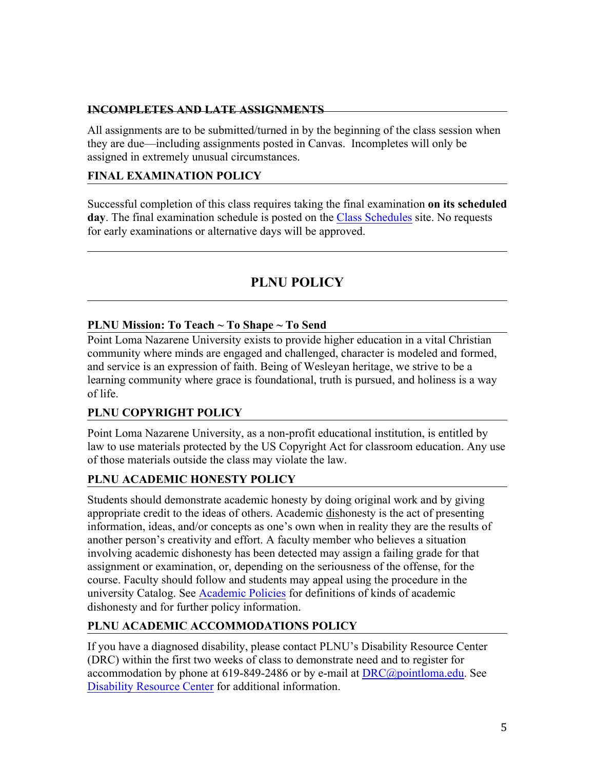### **INCOMPLETES AND LATE ASSIGNMENTS**

All assignments are to be submitted/turned in by the beginning of the class session when they are due—including assignments posted in Canvas. Incompletes will only be assigned in extremely unusual circumstances.

# **FINAL EXAMINATION POLICY**

Successful completion of this class requires taking the final examination **on its scheduled**  day. The final examination schedule is posted on the [Class Schedules](http://www.pointloma.edu/experience/academics/class-schedules) site. No requests for early examinations or alternative days will be approved.

# **PLNU POLICY**

## **PLNU Mission: To Teach ~ To Shape ~ To Send**

Point Loma Nazarene University exists to provide higher education in a vital Christian community where minds are engaged and challenged, character is modeled and formed, and service is an expression of faith. Being of Wesleyan heritage, we strive to be a learning community where grace is foundational, truth is pursued, and holiness is a way of life.

# **PLNU COPYRIGHT POLICY**

Point Loma Nazarene University, as a non-profit educational institution, is entitled by law to use materials protected by the US Copyright Act for classroom education. Any use of those materials outside the class may violate the law.

### **PLNU ACADEMIC HONESTY POLICY**

Students should demonstrate academic honesty by doing original work and by giving appropriate credit to the ideas of others. Academic dishonesty is the act of presenting information, ideas, and/or concepts as one's own when in reality they are the results of another person's creativity and effort. A faculty member who believes a situation involving academic dishonesty has been detected may assign a failing grade for that assignment or examination, or, depending on the seriousness of the offense, for the course. Faculty should follow and students may appeal using the procedure in the university Catalog. See [Academic Policies](http://catalog.pointloma.edu/content.php?catoid=18&navoid=1278) for definitions of kinds of academic dishonesty and for further policy information.

# **PLNU ACADEMIC ACCOMMODATIONS POLICY**

If you have a diagnosed disability, please contact PLNU's Disability Resource Center (DRC) within the first two weeks of class to demonstrate need and to register for accommodation by phone at 619-849-2486 or by e-mail at  $DRC@pointloma.edu$ . See [Disability Resource Center](http://www.pointloma.edu/experience/offices/administrative-offices/academic-advising-office/disability-resource-center) for additional information.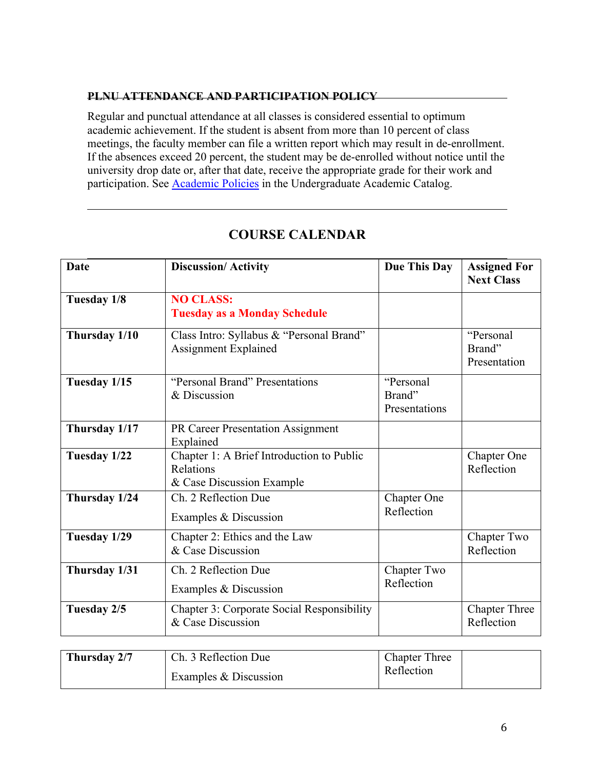### **PLNU ATTENDANCE AND PARTICIPATION POLICY**

Regular and punctual attendance at all classes is considered essential to optimum academic achievement. If the student is absent from more than 10 percent of class meetings, the faculty member can file a written report which may result in de-enrollment. If the absences exceed 20 percent, the student may be de-enrolled without notice until the university drop date or, after that date, receive the appropriate grade for their work and participation. See [Academic Policies](http://catalog.pointloma.edu/content.php?catoid=18&navoid=1278) in the Undergraduate Academic Catalog.

| <b>Date</b>   | <b>Discussion/Activity</b>                                                          | <b>Due This Day</b>                  | <b>Assigned For</b><br><b>Next Class</b> |
|---------------|-------------------------------------------------------------------------------------|--------------------------------------|------------------------------------------|
| Tuesday 1/8   | <b>NO CLASS:</b><br><b>Tuesday as a Monday Schedule</b>                             |                                      |                                          |
| Thursday 1/10 | Class Intro: Syllabus & "Personal Brand"<br>Assignment Explained                    |                                      | "Personal<br>Brand"<br>Presentation      |
| Tuesday 1/15  | "Personal Brand" Presentations<br>& Discussion                                      | "Personal<br>Brand"<br>Presentations |                                          |
| Thursday 1/17 | PR Career Presentation Assignment<br>Explained                                      |                                      |                                          |
| Tuesday 1/22  | Chapter 1: A Brief Introduction to Public<br>Relations<br>& Case Discussion Example |                                      | <b>Chapter One</b><br>Reflection         |
| Thursday 1/24 | Ch. 2 Reflection Due<br>Examples & Discussion                                       | Chapter One<br>Reflection            |                                          |
| Tuesday 1/29  | Chapter 2: Ethics and the Law<br>& Case Discussion                                  |                                      | Chapter Two<br>Reflection                |
| Thursday 1/31 | Ch. 2 Reflection Due<br>Examples & Discussion                                       | Chapter Two<br>Reflection            |                                          |
| Tuesday 2/5   | <b>Chapter 3: Corporate Social Responsibility</b><br>& Case Discussion              |                                      | <b>Chapter Three</b><br>Reflection       |

# **COURSE CALENDAR**

| Thursday 2/7 | Ch. 3 Reflection Due  | <b>Chapter Three</b> |
|--------------|-----------------------|----------------------|
|              | Examples & Discussion | Reflection           |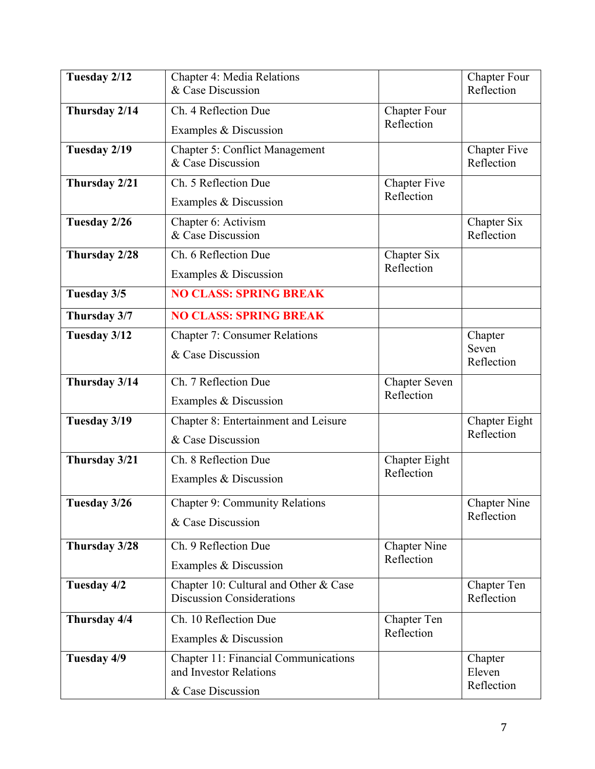| Tuesday 2/12  | <b>Chapter 4: Media Relations</b><br>& Case Discussion                    |                                   | <b>Chapter Four</b><br>Reflection |
|---------------|---------------------------------------------------------------------------|-----------------------------------|-----------------------------------|
| Thursday 2/14 | Ch. 4 Reflection Due                                                      | <b>Chapter Four</b><br>Reflection |                                   |
|               | Examples & Discussion                                                     |                                   |                                   |
| Tuesday 2/19  | <b>Chapter 5: Conflict Management</b><br>& Case Discussion                |                                   | <b>Chapter Five</b><br>Reflection |
| Thursday 2/21 | Ch. 5 Reflection Due                                                      | <b>Chapter Five</b>               |                                   |
|               | Examples & Discussion                                                     | Reflection                        |                                   |
| Tuesday 2/26  | Chapter 6: Activism<br>& Case Discussion                                  |                                   | Chapter Six<br>Reflection         |
| Thursday 2/28 | Ch. 6 Reflection Due                                                      | Chapter Six                       |                                   |
|               | Examples & Discussion                                                     | Reflection                        |                                   |
| Tuesday 3/5   | <b>NO CLASS: SPRING BREAK</b>                                             |                                   |                                   |
| Thursday 3/7  | <b>NO CLASS: SPRING BREAK</b>                                             |                                   |                                   |
| Tuesday 3/12  | <b>Chapter 7: Consumer Relations</b>                                      |                                   | Chapter                           |
|               | & Case Discussion                                                         |                                   | Seven<br>Reflection               |
| Thursday 3/14 | Ch. 7 Reflection Due                                                      | Chapter Seven<br>Reflection       |                                   |
|               | Examples & Discussion                                                     |                                   |                                   |
| Tuesday 3/19  | Chapter 8: Entertainment and Leisure                                      |                                   | Chapter Eight                     |
|               | & Case Discussion                                                         |                                   | Reflection                        |
| Thursday 3/21 | Ch. 8 Reflection Due                                                      | Chapter Eight                     |                                   |
|               | Examples & Discussion                                                     | Reflection                        |                                   |
| Tuesday 3/26  | <b>Chapter 9: Community Relations</b>                                     |                                   | <b>Chapter Nine</b>               |
|               | & Case Discussion                                                         |                                   | Reflection                        |
| Thursday 3/28 | Ch. 9 Reflection Due                                                      | <b>Chapter Nine</b>               |                                   |
|               | Examples & Discussion                                                     | Reflection                        |                                   |
| Tuesday 4/2   | Chapter 10: Cultural and Other & Case<br><b>Discussion Considerations</b> |                                   | Chapter Ten<br>Reflection         |
| Thursday 4/4  | Ch. 10 Reflection Due                                                     | Chapter Ten                       |                                   |
|               | Examples & Discussion                                                     | Reflection                        |                                   |
| Tuesday 4/9   | <b>Chapter 11: Financial Communications</b><br>and Investor Relations     |                                   | Chapter<br>Eleven                 |
|               | & Case Discussion                                                         |                                   | Reflection                        |